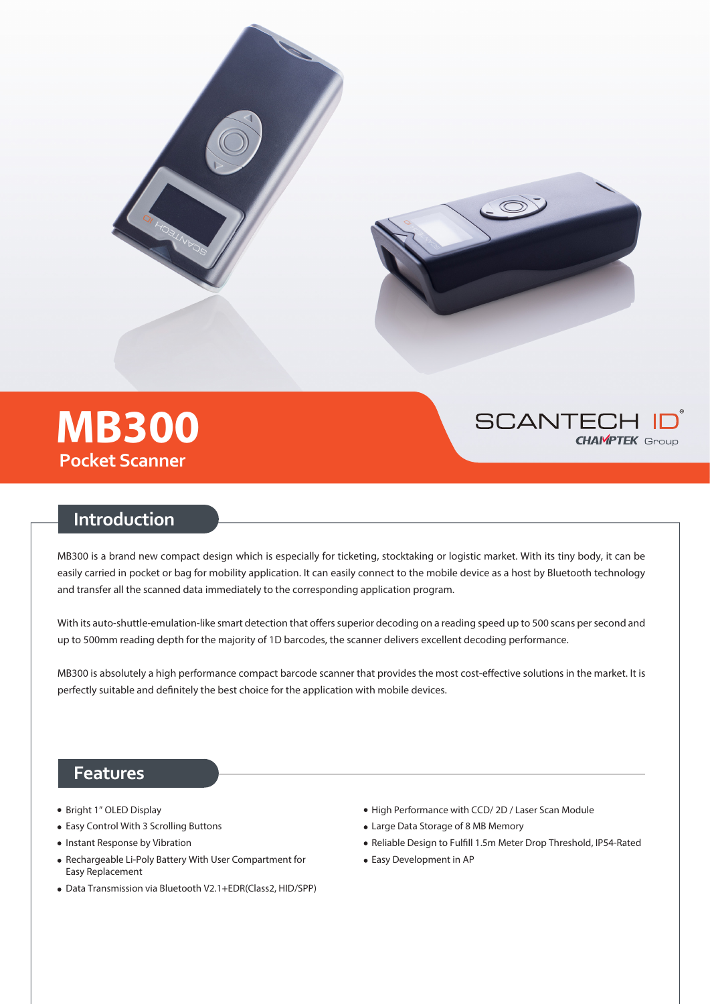





## **Introduction**

MB300 is a brand new compact design which is especially for ticketing, stocktaking or logistic market. With its tiny body, it can be easily carried in pocket or bag for mobility application. It can easily connect to the mobile device as a host by Bluetooth technology and transfer all the scanned data immediately to the corresponding application program.

With its auto-shuttle-emulation-like smart detection that offers superior decoding on a reading speed up to 500 scans per second and up to 500mm reading depth for the majority of 1D barcodes, the scanner delivers excellent decoding performance.

MB300 is absolutely a high performance compact barcode scanner that provides the most cost-effective solutions in the market. It is perfectly suitable and definitely the best choice for the application with mobile devices.

### **Features**

- Bright 1" OLED Display
- Easy Control With 3 Scrolling Buttons
- Instant Response by Vibration
- Rechargeable Li-Poly Battery With User Compartment for Easy Replacement
- Data Transmission via Bluetooth V2.1+EDR(Class2, HID/SPP)
- High Performance with CCD/2D / Laser Scan Module
- Large Data Storage of 8 MB Memory
- Reliable Design to Fulfill 1.5m Meter Drop Threshold, IP54-Rated
- Easy Development in AP